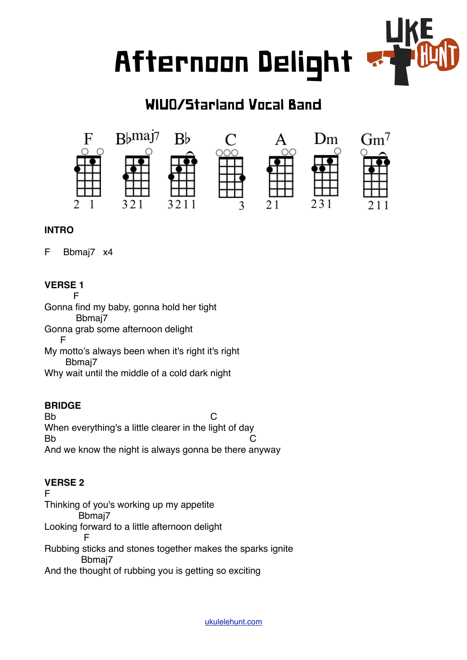# Afternoon Delight

# WIUO/Starland Vocal Band



# **INTRO**

F Bbmaj7 x4

# **VERSE 1**

F

Gonna find my baby, gonna hold her tight Bbmaj7 Gonna grab some afternoon delight F

My motto's always been when it's right it's right Bbmaj7

Why wait until the middle of a cold dark night

# **BRIDGE**

Bb C When everything's a little clearer in the light of day Bb C And we know the night is always gonna be there anyway

# **VERSE 2**

F Thinking of you's working up my appetite Bbmaj7 Looking forward to a little afternoon delight F Rubbing sticks and stones together makes the sparks ignite Bbmaj7 And the thought of rubbing you is getting so exciting